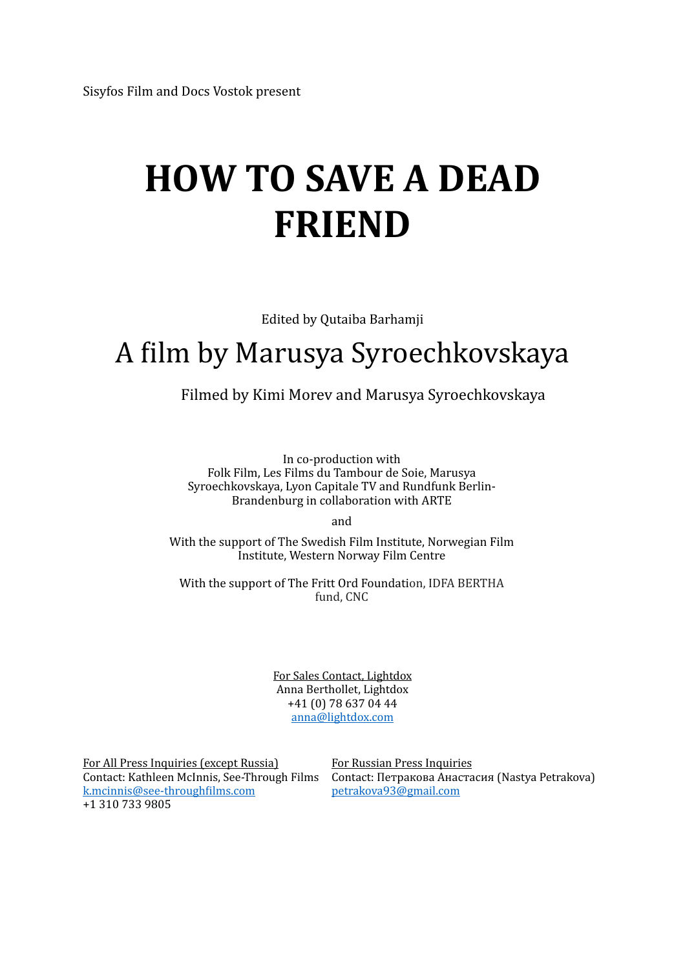# **HOW TO SAVE A DEAD FRIEND**

Edited by Qutaiba Barhamji

## A film by Marusya Syroechkovskaya

Filmed by Kimi Morev and Marusya Syroechkovskaya

In co-production with Folk Film, Les Films du Tambour de Soie, Marusya Syroechkovskaya, Lyon Capitale TV and Rundfunk Berlin-Brandenburg in collaboration with ARTE

and

With the support of The Swedish Film Institute, Norwegian Film Institute, Western Norway Film Centre

With the support of The Fritt Ord Foundation, IDFA BERTHA fund, CNC

> For Sales Contact, Lightdox Anna Berthollet, Lightdox +41 (0) 78 637 04 44 [anna@lightdox.com](mailto:anna@lightdox.com)

For All Press Inquiries (except Russia) For Russian Press Inquiries k.mcinnis@see-throughfilms.com petrakova93@gmail.com +1 310 733 9805

Contact: Kathleen McInnis, See-Through Films Contact: Петракова Анастасия (Nastya Petrakova)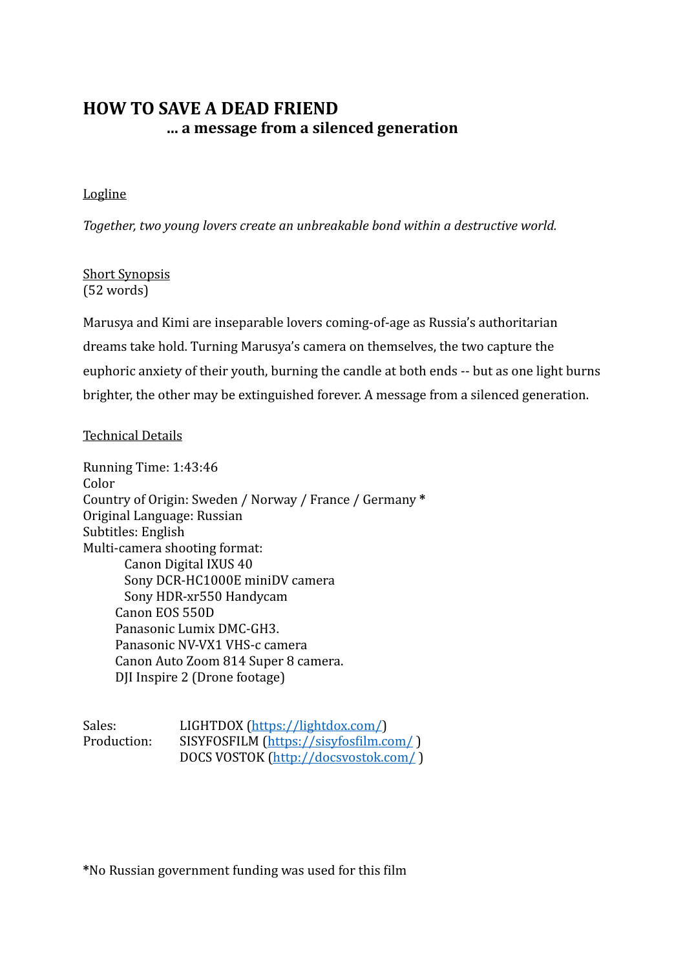## **Logline**

Together, two young lovers create an unbreakable bond within a destructive world.

## Short Synopsis  $(52 words)$

Marusya and Kimi are inseparable lovers coming-of-age as Russia's authoritarian dreams take hold. Turning Marusya's camera on themselves, the two capture the euphoric anxiety of their youth, burning the candle at both ends -- but as one light burns brighter, the other may be extinguished forever. A message from a silenced generation.

## Technical Details

Running Time: 1:43:46 Color Country of Origin: Sweden / Norway / France / Germany \* Original Language: Russian Subtitles: English Multi-camera shooting format: Canon Digital IXUS 40 Sony DCR-HC1000E miniDV camera Sony HDR-xr550 Handycam Canon EOS 550D Panasonic Lumix DMC-GH3. Panasonic NV-VX1 VHS-c camera Canon Auto Zoom 814 Super 8 camera. DJI Inspire 2 (Drone footage)

Sales: LIGHTDOX ([https://lightdox.com/\)](https://lightdox.com/) Production: SISYFOSFILM (https://sisyfosfilm.com/) DOCS VOSTOK [\(http://docsvostok.com/](http://docsvostok.com/) )

**\***No Russian government funding was used for this film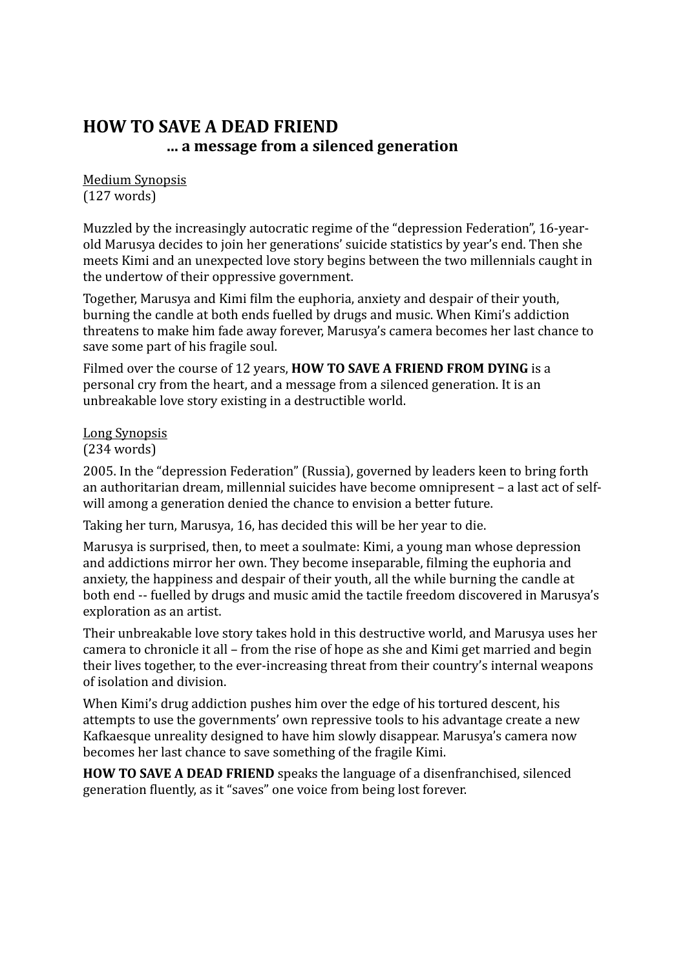**Medium Synopsis**  $(127 \text{ words})$ 

Muzzled by the increasingly autocratic regime of the "depression Federation", 16-yearold Marusya decides to join her generations' suicide statistics by year's end. Then she meets Kimi and an unexpected love story begins between the two millennials caught in the undertow of their oppressive government.

Together, Marusya and Kimi film the euphoria, anxiety and despair of their youth, burning the candle at both ends fuelled by drugs and music. When Kimi's addiction threatens to make him fade away forever, Marusya's camera becomes her last chance to save some part of his fragile soul.

Filmed over the course of 12 years, **HOW TO SAVE A FRIEND FROM DYING** is a personal cry from the heart, and a message from a silenced generation. It is an unbreakable love story existing in a destructible world.

## Long Synopsis

## $(234 \text{ words})$

2005. In the "depression Federation" (Russia), governed by leaders keen to bring forth an authoritarian dream, millennial suicides have become omnipresent - a last act of selfwill among a generation denied the chance to envision a better future.

Taking her turn, Marusya, 16, has decided this will be her year to die.

Marusya is surprised, then, to meet a soulmate: Kimi, a young man whose depression and addictions mirror her own. They become inseparable, filming the euphoria and anxiety, the happiness and despair of their youth, all the while burning the candle at both end -- fuelled by drugs and music amid the tactile freedom discovered in Marusya's exploration as an artist.

Their unbreakable love story takes hold in this destructive world, and Marusya uses her camera to chronicle it all – from the rise of hope as she and Kimi get married and begin their lives together, to the ever-increasing threat from their country's internal weapons of isolation and division.

When Kimi's drug addiction pushes him over the edge of his tortured descent, his attempts to use the governments' own repressive tools to his advantage create a new Kafkaesque unreality designed to have him slowly disappear. Marusya's camera now becomes her last chance to save something of the fragile Kimi.

**HOW TO SAVE A DEAD FRIEND** speaks the language of a disenfranchised, silenced generation fluently, as it "saves" one voice from being lost forever.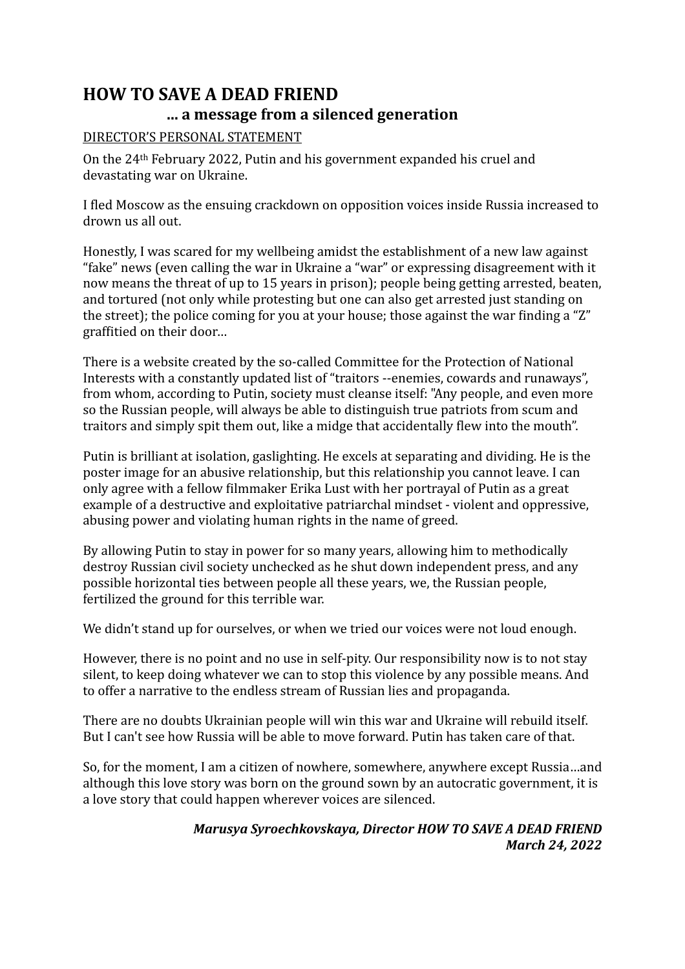## DIRECTOR'S PERSONAL STATEMENT

On the 24<sup>th</sup> February 2022, Putin and his government expanded his cruel and devastating war on Ukraine.

I fled Moscow as the ensuing crackdown on opposition voices inside Russia increased to drown us all out.

Honestly, I was scared for my wellbeing amidst the establishment of a new law against "fake" news (even calling the war in Ukraine a "war" or expressing disagreement with it now means the threat of up to 15 years in prison); people being getting arrested, beaten, and tortured (not only while protesting but one can also get arrested just standing on the street); the police coming for you at your house; those against the war finding a " $Z$ " graffitied on their door...

There is a website created by the so-called Committee for the Protection of National Interests with a constantly updated list of "traitors --enemies, cowards and runaways", from whom, according to Putin, society must cleanse itself: "Any people, and even more so the Russian people, will always be able to distinguish true patriots from scum and traitors and simply spit them out, like a midge that accidentally flew into the mouth".

Putin is brilliant at isolation, gaslighting. He excels at separating and dividing. He is the poster image for an abusive relationship, but this relationship you cannot leave. I can only agree with a fellow filmmaker Erika Lust with her portrayal of Putin as a great example of a destructive and exploitative patriarchal mindset - violent and oppressive, abusing power and violating human rights in the name of greed.

By allowing Putin to stay in power for so many years, allowing him to methodically destroy Russian civil society unchecked as he shut down independent press, and any possible horizontal ties between people all these years, we, the Russian people, fertilized the ground for this terrible war.

We didn't stand up for ourselves, or when we tried our voices were not loud enough.

However, there is no point and no use in self-pity. Our responsibility now is to not stay silent, to keep doing whatever we can to stop this violence by any possible means. And to offer a narrative to the endless stream of Russian lies and propaganda.

There are no doubts Ukrainian people will win this war and Ukraine will rebuild itself. But I can't see how Russia will be able to move forward. Putin has taken care of that.

So, for the moment, I am a citizen of nowhere, somewhere, anywhere except Russia...and although this love story was born on the ground sown by an autocratic government, it is a love story that could happen wherever voices are silenced.

## *Marusya Syroechkovskaya, Director HOW TO SAVE A DEAD FRIEND March 24, 2022*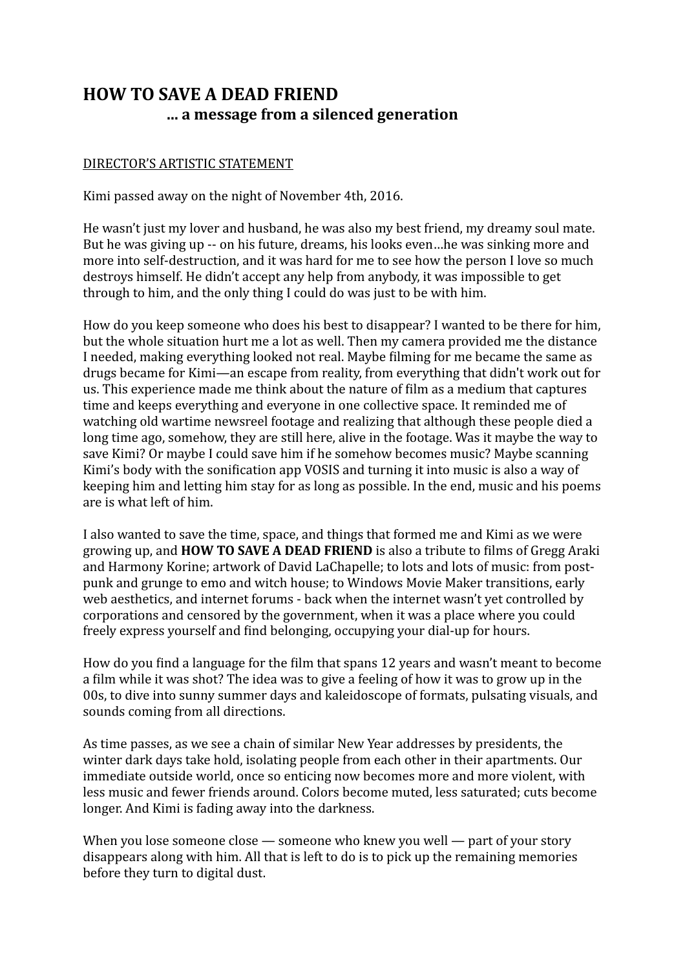## DIRECTOR'S ARTISTIC STATEMENT

Kimi passed away on the night of November 4th, 2016.

He wasn't just my lover and husband, he was also my best friend, my dreamy soul mate. But he was giving up -- on his future, dreams, his looks even...he was sinking more and more into self-destruction, and it was hard for me to see how the person I love so much destroys himself. He didn't accept any help from anybody, it was impossible to get through to him, and the only thing I could do was just to be with him.

How do you keep someone who does his best to disappear? I wanted to be there for him, but the whole situation hurt me a lot as well. Then my camera provided me the distance I needed, making everything looked not real. Maybe filming for me became the same as drugs became for Kimi—an escape from reality, from everything that didn't work out for us. This experience made me think about the nature of film as a medium that captures time and keeps everything and everyone in one collective space. It reminded me of watching old wartime newsreel footage and realizing that although these people died a long time ago, somehow, they are still here, alive in the footage. Was it maybe the way to save Kimi? Or maybe I could save him if he somehow becomes music? Maybe scanning Kimi's body with the sonification app VOSIS and turning it into music is also a way of keeping him and letting him stay for as long as possible. In the end, music and his poems are is what left of him.

I also wanted to save the time, space, and things that formed me and Kimi as we were growing up, and **HOW TO SAVE A DEAD FRIEND** is also a tribute to films of Gregg Araki and Harmony Korine; artwork of David LaChapelle; to lots and lots of music: from postpunk and grunge to emo and witch house; to Windows Movie Maker transitions, early web aesthetics, and internet forums - back when the internet wasn't vet controlled by corporations and censored by the government, when it was a place where you could freely express yourself and find belonging, occupying your dial-up for hours.

How do you find a language for the film that spans 12 years and wasn't meant to become a film while it was shot? The idea was to give a feeling of how it was to grow up in the 00s, to dive into sunny summer days and kaleidoscope of formats, pulsating visuals, and sounds coming from all directions.

As time passes, as we see a chain of similar New Year addresses by presidents, the winter dark days take hold, isolating people from each other in their apartments. Our immediate outside world, once so enticing now becomes more and more violent, with less music and fewer friends around. Colors become muted, less saturated; cuts become longer. And Kimi is fading away into the darkness.

When you lose someone close  $-$  someone who knew you well  $-$  part of your story disappears along with him. All that is left to do is to pick up the remaining memories before they turn to digital dust.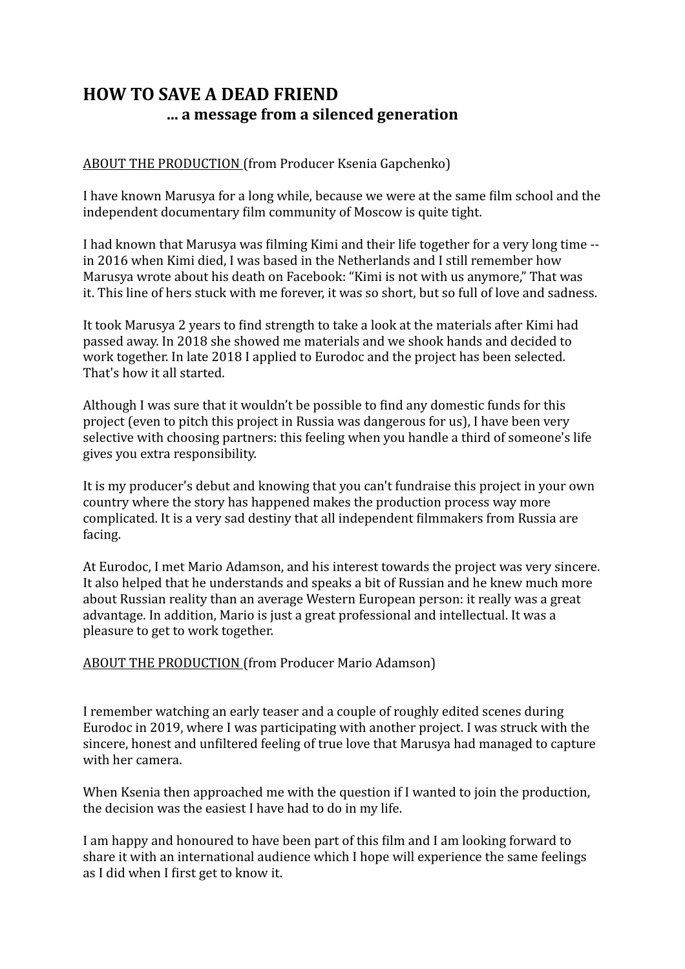ABOUT THE PRODUCTION (from Producer Ksenia Gapchenko)

I have known Marusya for a long while, because we were at the same film school and the independent documentary film community of Moscow is quite tight.

I had known that Marusya was filming Kimi and their life together for a very long time -in 2016 when Kimi died. I was based in the Netherlands and I still remember how Marusya wrote about his death on Facebook: "Kimi is not with us anymore," That was it. This line of hers stuck with me forever, it was so short, but so full of love and sadness.

It took Marusya 2 years to find strength to take a look at the materials after Kimi had passed away. In 2018 she showed me materials and we shook hands and decided to work together. In late 2018 I applied to Eurodoc and the project has been selected. That's how it all started.

Although I was sure that it wouldn't be possible to find any domestic funds for this project (even to pitch this project in Russia was dangerous for us). I have been very selective with choosing partners: this feeling when you handle a third of someone's life gives you extra responsibility.

It is my producer's debut and knowing that you can't fundraise this project in your own country where the story has happened makes the production process way more complicated. It is a very sad destiny that all independent filmmakers from Russia are facing. 

At Eurodoc, I met Mario Adamson, and his interest towards the project was very sincere. It also helped that he understands and speaks a bit of Russian and he knew much more about Russian reality than an average Western European person: it really was a great advantage. In addition, Mario is just a great professional and intellectual. It was a pleasure to get to work together.

ABOUT THE PRODUCTION (from Producer Mario Adamson)

I remember watching an early teaser and a couple of roughly edited scenes during Eurodoc in 2019, where I was participating with another project. I was struck with the sincere, honest and unfiltered feeling of true love that Marusya had managed to capture with her camera.

When Ksenia then approached me with the question if I wanted to join the production, the decision was the easiest I have had to do in my life.

I am happy and honoured to have been part of this film and I am looking forward to share it with an international audience which I hope will experience the same feelings as I did when I first get to know it.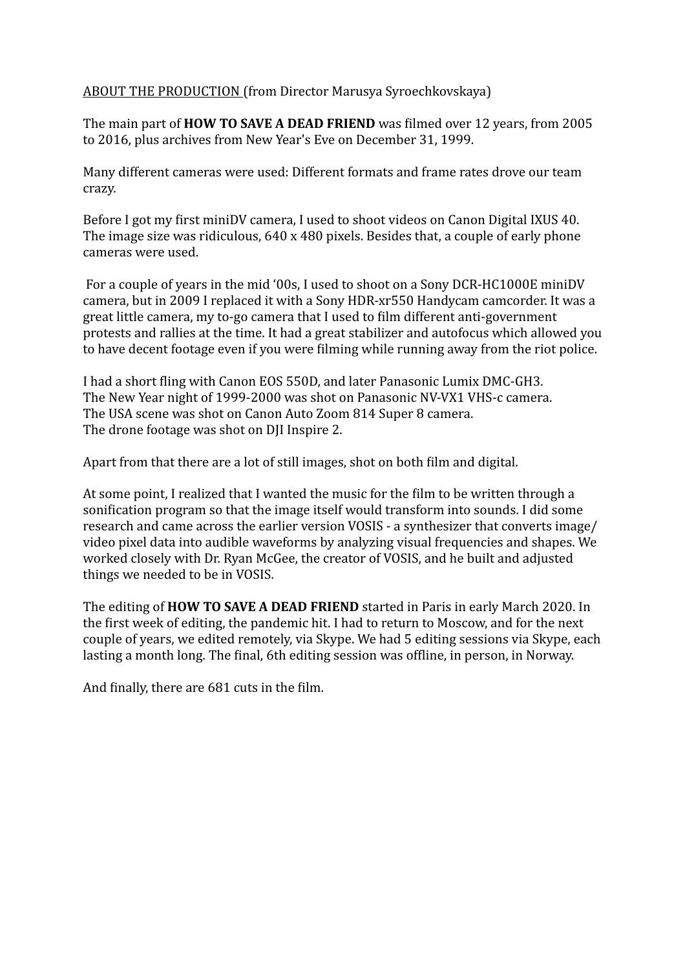## ABOUT THE PRODUCTION (from Director Marusya Syroechkovskaya)

The main part of **HOW TO SAVE A DEAD FRIEND** was filmed over 12 years, from 2005 to 2016, plus archives from New Year's Eve on December 31, 1999.

Many different cameras were used: Different formats and frame rates drove our team crazy. 

Before I got my first miniDV camera, I used to shoot videos on Canon Digital IXUS 40. The image size was ridiculous,  $640 \times 480$  pixels. Besides that, a couple of early phone cameras were used.

For a couple of years in the mid '00s, I used to shoot on a Sony DCR-HC1000E miniDV camera, but in 2009 I replaced it with a Sony HDR-xr550 Handycam camcorder. It was a great little camera, my to-go camera that I used to film different anti-government protests and rallies at the time. It had a great stabilizer and autofocus which allowed you to have decent footage even if you were filming while running away from the riot police.

I had a short fling with Canon EOS 550D, and later Panasonic Lumix DMC-GH3. The New Year night of 1999-2000 was shot on Panasonic NV-VX1 VHS-c camera. The USA scene was shot on Canon Auto Zoom 814 Super 8 camera. The drone footage was shot on DJI Inspire 2.

Apart from that there are a lot of still images, shot on both film and digital.

At some point, I realized that I wanted the music for the film to be written through a sonification program so that the image itself would transform into sounds. I did some research and came across the earlier version VOSIS - a synthesizer that converts image/ video pixel data into audible waveforms by analyzing visual frequencies and shapes. We worked closely with Dr. Ryan McGee, the creator of VOSIS, and he built and adjusted things we needed to be in VOSIS.

The editing of **HOW TO SAVE A DEAD FRIEND** started in Paris in early March 2020. In the first week of editing, the pandemic hit. I had to return to Moscow, and for the next couple of years, we edited remotely, via Skype. We had 5 editing sessions via Skype, each lasting a month long. The final, 6th editing session was offline, in person, in Norway.

And finally, there are 681 cuts in the film.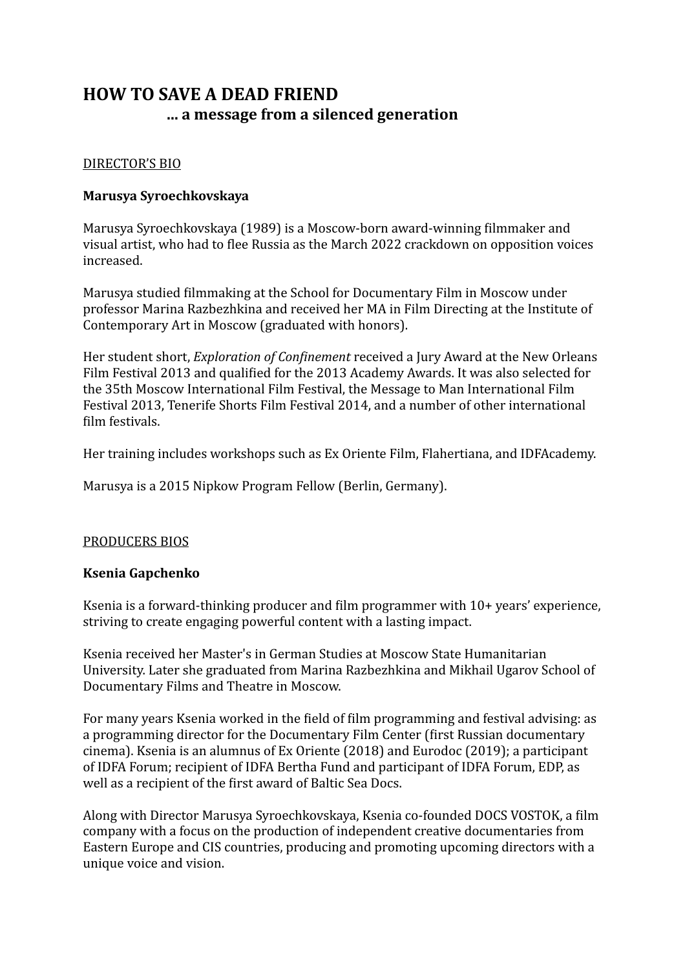## DIRECTOR'S BIO

## **Marusya Syroechkovskaya**

Marusya Syroechkovskaya (1989) is a Moscow-born award-winning filmmaker and visual artist, who had to flee Russia as the March 2022 crackdown on opposition voices increased.

Marusya studied filmmaking at the School for Documentary Film in Moscow under professor Marina Razbezhkina and received her MA in Film Directing at the Institute of Contemporary Art in Moscow (graduated with honors).

Her student short, *Exploration of Confinement* received a Jury Award at the New Orleans Film Festival 2013 and qualified for the 2013 Academy Awards. It was also selected for the 35th Moscow International Film Festival, the Message to Man International Film Festival 2013, Tenerife Shorts Film Festival 2014, and a number of other international film festivals.

Her training includes workshops such as Ex Oriente Film, Flahertiana, and IDFAcademy.

Marusya is a 2015 Nipkow Program Fellow (Berlin, Germany).

## PRODUCERS BIOS

#### **Ksenia Gapchenko**

Ksenia is a forward-thinking producer and film programmer with  $10+$  years' experience, striving to create engaging powerful content with a lasting impact.

Ksenia received her Master's in German Studies at Moscow State Humanitarian University. Later she graduated from Marina Razbezhkina and Mikhail Ugarov School of Documentary Films and Theatre in Moscow.

For many years Ksenia worked in the field of film programming and festival advising: as a programming director for the Documentary Film Center (first Russian documentary cinema). Ksenia is an alumnus of Ex Oriente  $(2018)$  and Eurodoc  $(2019)$ ; a participant of IDFA Forum; recipient of IDFA Bertha Fund and participant of IDFA Forum, EDP, as well as a recipient of the first award of Baltic Sea Docs.

Along with Director Marusya Syroechkovskaya, Ksenia co-founded DOCS VOSTOK, a film company with a focus on the production of independent creative documentaries from Eastern Europe and CIS countries, producing and promoting upcoming directors with a unique voice and vision.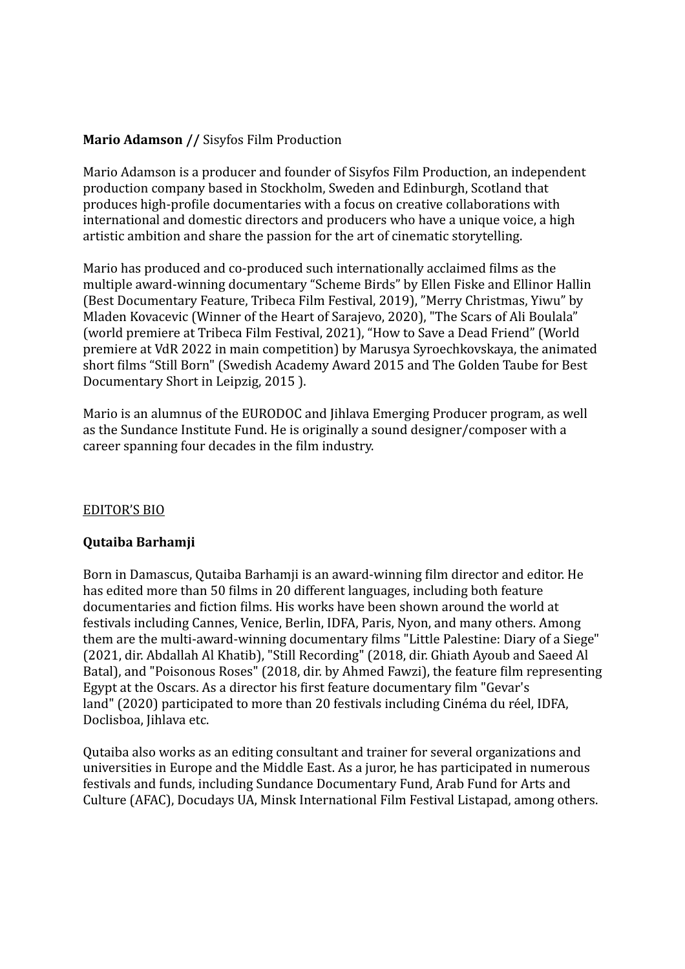## **Mario Adamson // Sisyfos Film Production**

Mario Adamson is a producer and founder of Sisyfos Film Production, an independent production company based in Stockholm, Sweden and Edinburgh, Scotland that produces high-profile documentaries with a focus on creative collaborations with international and domestic directors and producers who have a unique voice, a high artistic ambition and share the passion for the art of cinematic storytelling.

Mario has produced and co-produced such internationally acclaimed films as the multiple award-winning documentary "Scheme Birds" by Ellen Fiske and Ellinor Hallin (Best Documentary Feature, Tribeca Film Festival, 2019), "Merry Christmas, Yiwu" by Mladen Kovacevic (Winner of the Heart of Sarajevo, 2020), "The Scars of Ali Boulala" (world premiere at Tribeca Film Festival, 2021), "How to Save a Dead Friend" (World premiere at VdR 2022 in main competition) by Marusya Syroechkovskaya, the animated short films "Still Born" (Swedish Academy Award 2015 and The Golden Taube for Best Documentary Short in Leipzig, 2015 ).

Mario is an alumnus of the EURODOC and Jihlava Emerging Producer program, as well as the Sundance Institute Fund. He is originally a sound designer/composer with a career spanning four decades in the film industry.

## **EDITOR'S BIO**

## **Qutaiba Barhamji**

Born in Damascus, Outaiba Barhamii is an award-winning film director and editor. He has edited more than 50 films in 20 different languages, including both feature documentaries and fiction films. His works have been shown around the world at festivals including Cannes, Venice, Berlin, IDFA, Paris, Nyon, and many others. Among them are the multi-award-winning documentary films "Little Palestine: Diary of a Siege" (2021, dir. Abdallah Al Khatib), "Still Recording" (2018, dir. Ghiath Ayoub and Saeed Al Batal), and "Poisonous Roses" (2018, dir. by Ahmed Fawzi), the feature film representing Egypt at the Oscars. As a director his first feature documentary film "Gevar's land" (2020) participated to more than 20 festivals including Cinéma du réel, IDFA, Doclisboa, Jihlava etc.

Outaiba also works as an editing consultant and trainer for several organizations and universities in Europe and the Middle East. As a juror, he has participated in numerous festivals and funds, including Sundance Documentary Fund, Arab Fund for Arts and Culture (AFAC), Docudays UA, Minsk International Film Festival Listapad, among others.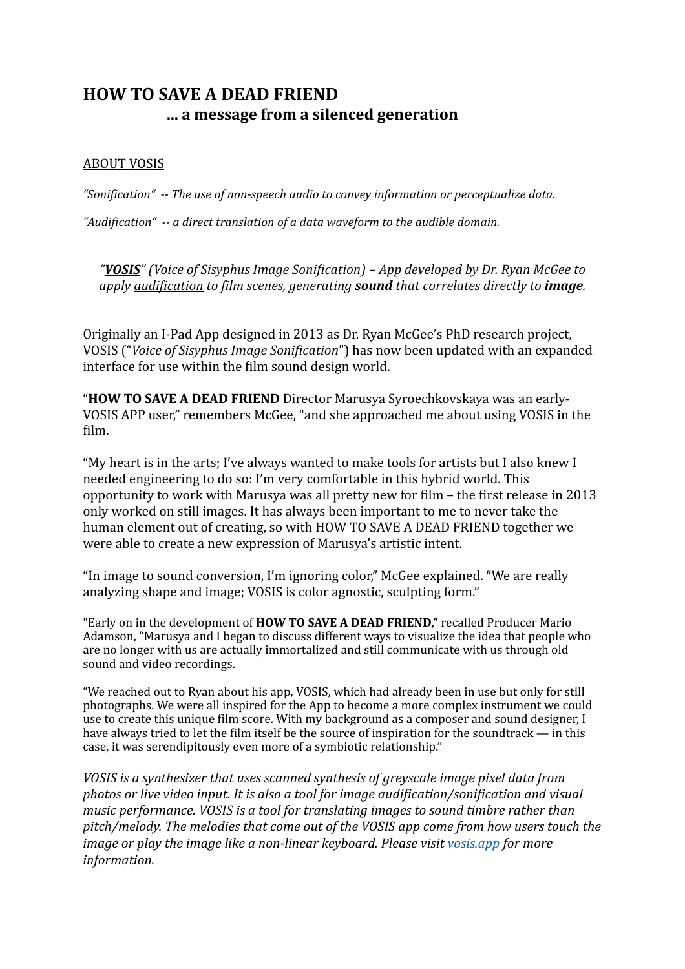## **ABOUT VOSIS**

"Sonification"  $-$ - The use of non-speech audio to convey information or perceptualize data.

"Audification"  $-$ - a direct translation of a data waveform to the audible domain.

*"VOSIS" (Voice of Sisyphus Image Sonification) – App developed by Dr. Ryan McGee to apply audification to film scenes, generating sound that correlates directly to image.* 

Originally an I-Pad App designed in 2013 as Dr. Ryan McGee's PhD research project, VOSIS ("Voice of Sisyphus Image Sonification") has now been updated with an expanded interface for use within the film sound design world.

"**HOW TO SAVE A DEAD FRIEND** Director Marusya Syroechkovskaya was an early-VOSIS APP user," remembers McGee, "and she approached me about using VOSIS in the film. 

"My heart is in the arts; I've always wanted to make tools for artists but I also knew I needed engineering to do so: I'm very comfortable in this hybrid world. This opportunity to work with Marusya was all pretty new for film – the first release in 2013 only worked on still images. It has always been important to me to never take the human element out of creating, so with HOW TO SAVE A DEAD FRIEND together we were able to create a new expression of Marusya's artistic intent.

"In image to sound conversion, I'm ignoring color," McGee explained. "We are really analyzing shape and image; VOSIS is color agnostic, sculpting form."

"Early on in the development of **HOW TO SAVE A DEAD FRIEND**," recalled Producer Mario Adamson, "Marusya and I began to discuss different ways to visualize the idea that people who are no longer with us are actually immortalized and still communicate with us through old sound and video recordings.

"We reached out to Ryan about his app. VOSIS, which had already been in use but only for still photographs. We were all inspired for the App to become a more complex instrument we could use to create this unique film score. With my background as a composer and sound designer, I have always tried to let the film itself be the source of inspiration for the soundtrack — in this case, it was serendipitously even more of a symbiotic relationship."

*VOSIS* is a synthesizer that uses scanned synthesis of greyscale image pixel data from *photos* or live video input. It is also a tool for image audification/sonification and visual *music performance. VOSIS is a tool for translating images to sound timbre rather than* pitch/melody. The melodies that come out of the VOSIS app come from how users touch the *image or play the image like a non-linear keyboard. Please visit vosis.app for more information.*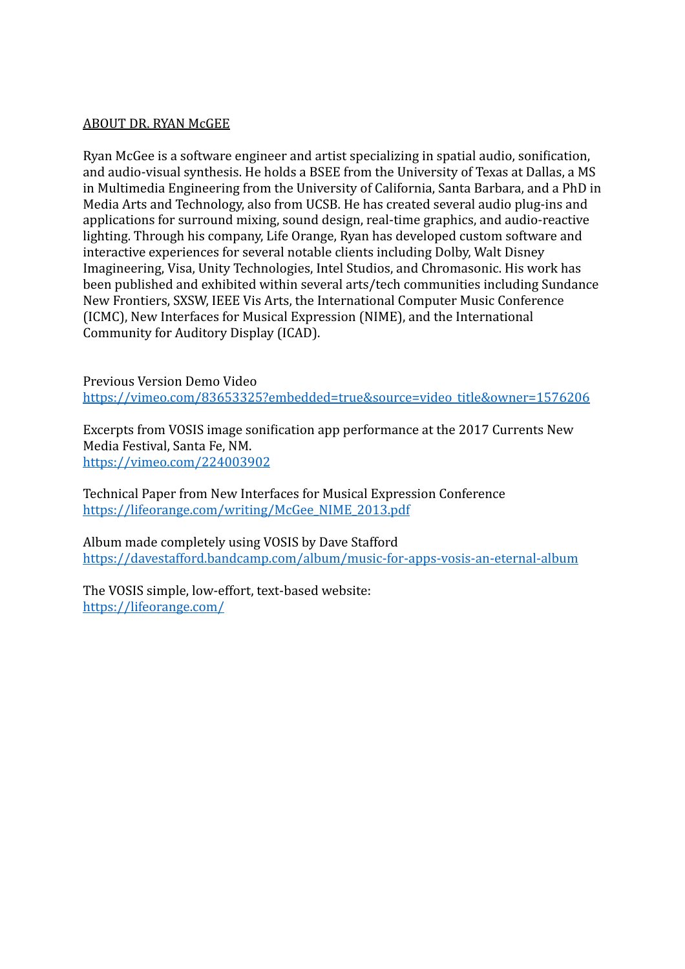#### ABOUT DR. RYAN McGEE

Ryan McGee is a software engineer and artist specializing in spatial audio, sonification, and audio-visual synthesis. He holds a BSEE from the University of Texas at Dallas, a MS in Multimedia Engineering from the University of California, Santa Barbara, and a PhD in Media Arts and Technology, also from UCSB. He has created several audio plug-ins and applications for surround mixing, sound design, real-time graphics, and audio-reactive lighting. Through his company, Life Orange, Ryan has developed custom software and interactive experiences for several notable clients including Dolby, Walt Disney Imagineering, Visa, Unity Technologies, Intel Studios, and Chromasonic. His work has been published and exhibited within several arts/tech communities including Sundance New Frontiers, SXSW, IEEE Vis Arts, the International Computer Music Conference (ICMC), New Interfaces for Musical Expression (NIME), and the International Community for Auditory Display (ICAD).

Previous Version Demo Video [https://vimeo.com/83653325?embedded=true&source=video\\_title&owner=1576206](https://vimeo.com/83653325?embedded=true&source=video_title&owner=1576206)

Excerpts from VOSIS image sonification app performance at the 2017 Currents New Media Festival, Santa Fe, NM. <https://vimeo.com/224003902>

Technical Paper from New Interfaces for Musical Expression Conference [https://lifeorange.com/writing/McGee\\_NIME\\_2013.pdf](https://lifeorange.com/writing/McGee_NIME_2013.pdf)

Album made completely using VOSIS by Dave Stafford <https://davestafford.bandcamp.com/album/music-for-apps-vosis-an-eternal-album>

The VOSIS simple, low-effort, text-based website: <https://lifeorange.com/>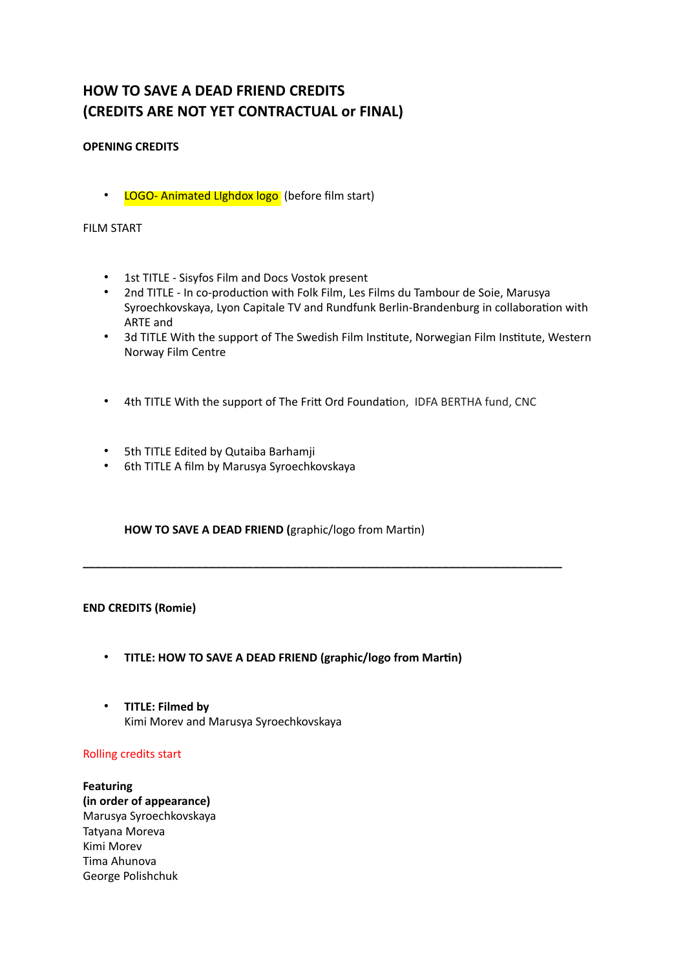## **HOW TO SAVE A DEAD FRIEND CREDITS (CREDITS ARE NOT YET CONTRACTUAL or FINAL)**

#### **OPENING CREDITS**

• LOGO- Animated Lighdox logo (before film start)

#### FILM START

- 1st TITLE Sisyfos Film and Docs Vostok present
- 2nd TITLE In co-production with Folk Film, Les Films du Tambour de Soie, Marusya Syroechkovskaya, Lyon Capitale TV and Rundfunk Berlin-Brandenburg in collaboration with ARTE and
- 3d TITLE With the support of The Swedish Film Institute, Norwegian Film Institute, Western Norway Film Centre
- 4th TITLE With the support of The Fritt Ord Foundaton, IDFA BERTHA fund, CNC

**\_\_\_\_\_\_\_\_\_\_\_\_\_\_\_\_\_\_\_\_\_\_\_\_\_\_\_\_\_\_\_\_\_\_\_\_\_\_\_\_\_\_\_\_\_\_\_\_\_\_\_\_\_\_\_\_\_\_\_\_\_\_\_\_\_\_\_\_\_\_\_\_\_\_\_\_**

- 5th TITLE Edited by Qutaiba Barhamji
- 6th TITLE A film by Marusya Syroechkovskaya

**HOW TO SAVE A DEAD FRIEND (**graphic/logo from Martin)

#### **END CREDITS (Romie)**

- **TITLE: HOW TO SAVE A DEAD FRIEND (graphic/logo from Martin)**
- **TITLE: Filmed by** Kimi Morev and Marusya Syroechkovskaya

#### Rolling credits start

**Featuring (in order of appearance)** Marusya Syroechkovskaya Tatyana Moreva Kimi Morev Tima Ahunova George Polishchuk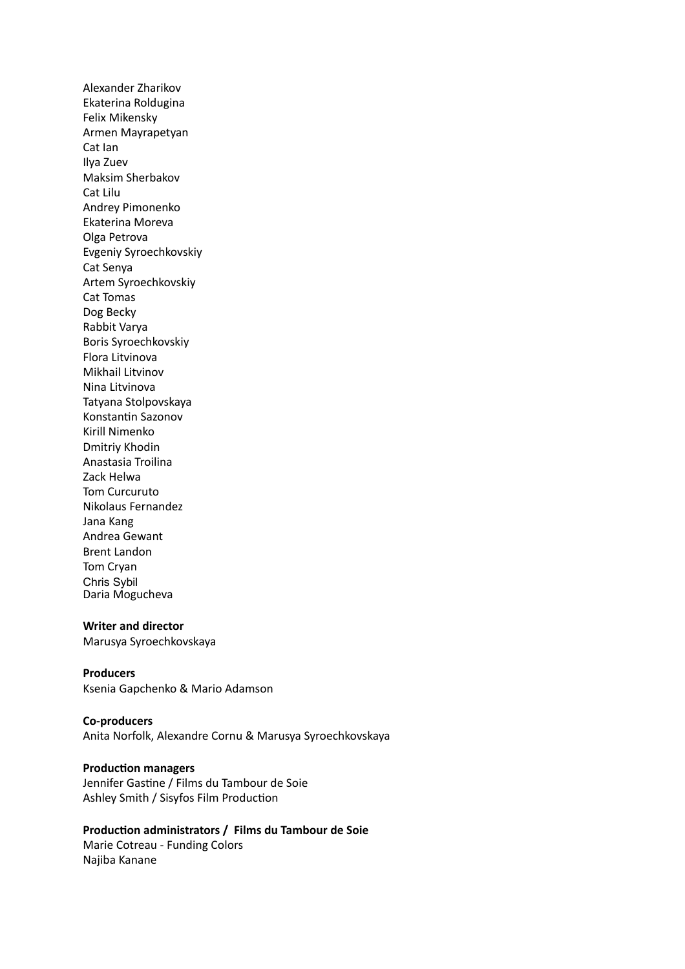Alexander Zharikov Ekaterina Roldugina Felix Mikensky Armen Mayrapetyan Cat Ian Ilya Zuev Maksim Sherbakov Cat Lilu Andrey Pimonenko Ekaterina Moreva Olga Petrova Evgeniy Syroechkovskiy Cat Senya Artem Syroechkovskiy Cat Tomas Dog Becky Rabbit Varya Boris Syroechkovskiy Flora Litvinova Mikhail Litvinov Nina Litvinova Tatyana Stolpovskaya Konstantin Sazonov Kirill Nimenko Dmitriy Khodin Anastasia Troilina Zack Helwa Tom Curcuruto Nikolaus Fernandez Jana Kang Andrea Gewant Brent Landon Tom Cryan Chris Sybil Daria Mogucheva

#### **Writer and director**

Marusya Syroechkovskaya

#### **Producers**

Ksenia Gapchenko & Mario Adamson

#### **Co-producers**

Anita Norfolk, Alexandre Cornu & Marusya Syroechkovskaya

#### **Production managers**

Jennifer Gastine / Films du Tambour de Soie Ashley Smith / Sisyfos Film Production

#### **Production administrators / Films du Tambour de Soie**

Marie Cotreau - Funding Colors Najiba Kanane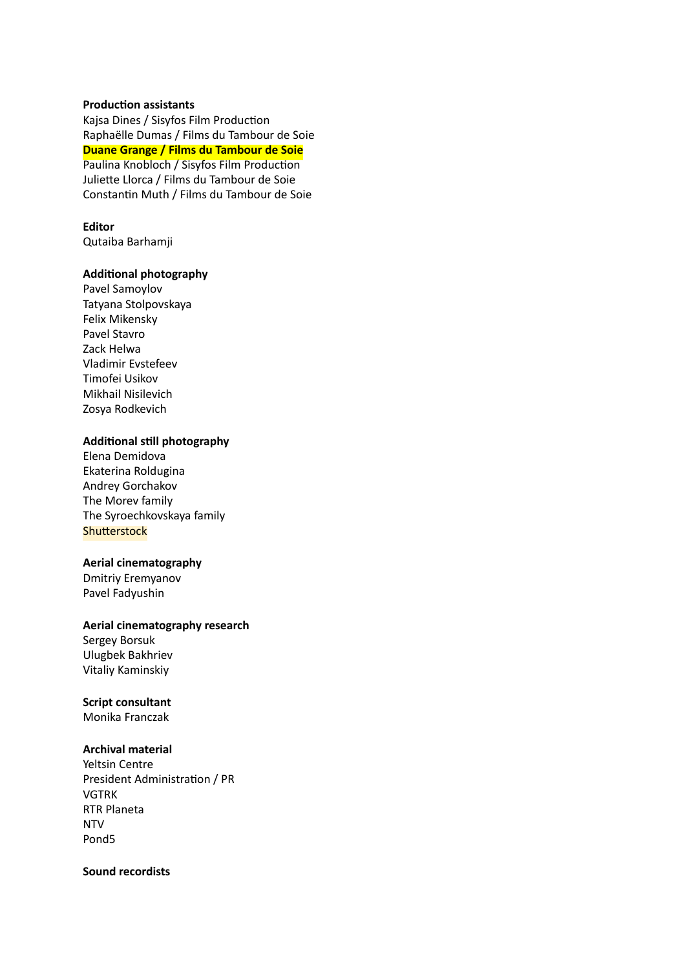#### **Production assistants**

Kajsa Dines / Sisyfos Film Production Raphaëlle Dumas / Films du Tambour de Soie **Duane Grange / Films du Tambour de Soie** Paulina Knobloch / Sisyfos Film Production Juliette Llorca / Films du Tambour de Soie Constantin Muth / Films du Tambour de Soie

#### **Editor**

Qutaiba Barhamji

#### **Additional photography**

Pavel Samoylov Tatyana Stolpovskaya Felix Mikensky Pavel Stavro Zack Helwa Vladimir Evstefeev Timofei Usikov Mikhail Nisilevich Zosya Rodkevich

#### **Additional still photography**

Elena Demidova Ekaterina Roldugina Andrey Gorchakov The Morev family The Syroechkovskaya family **Shutterstock** 

#### **Aerial cinematography**

Dmitriy Eremyanov Pavel Fadyushin

#### **Aerial cinematography research**

Sergey Borsuk Ulugbek Bakhriev Vitaliy Kaminskiy

#### **Script consultant**

Monika Franczak

#### **Archival material**

Yeltsin Centre President Administration / PR VGTRK RTR Planeta NTV Pond5

#### **Sound recordists**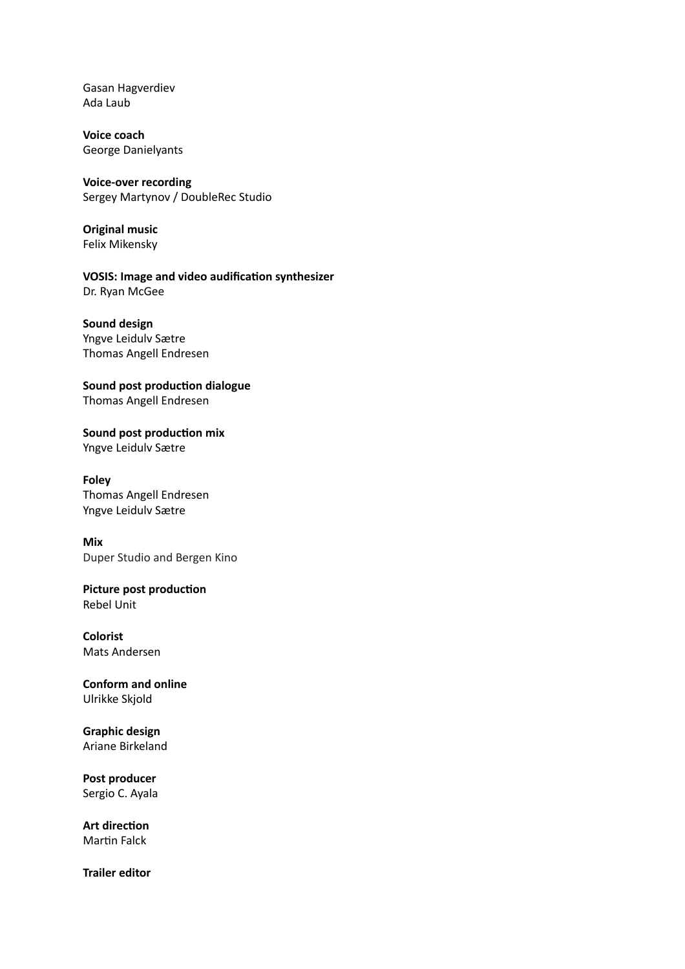Gasan Hagverdiev Ada Laub

**Voice coach** George Danielyants

#### **Voice-over recording**  Sergey Martynov / DoubleRec Studio

**Original music**  Felix Mikensky

**VOSIS: Image and video audification synthesizer** Dr. Ryan McGee

**Sound design** Yngve Leidulv Sætre Thomas Angell Endresen

**Sound post production dialogue**  Thomas Angell Endresen

**Sound post production mix**  Yngve Leidulv Sætre

**Foley** Thomas Angell Endresen Yngve Leidulv Sætre

**Mix** Duper Studio and Bergen Kino

**Picture post production** Rebel Unit

**Colorist** Mats Andersen

**Conform and online** Ulrikke Skjold

**Graphic design** Ariane Birkeland

**Post producer** Sergio C. Ayala

**Art direction** Martin Falck

**Trailer editor**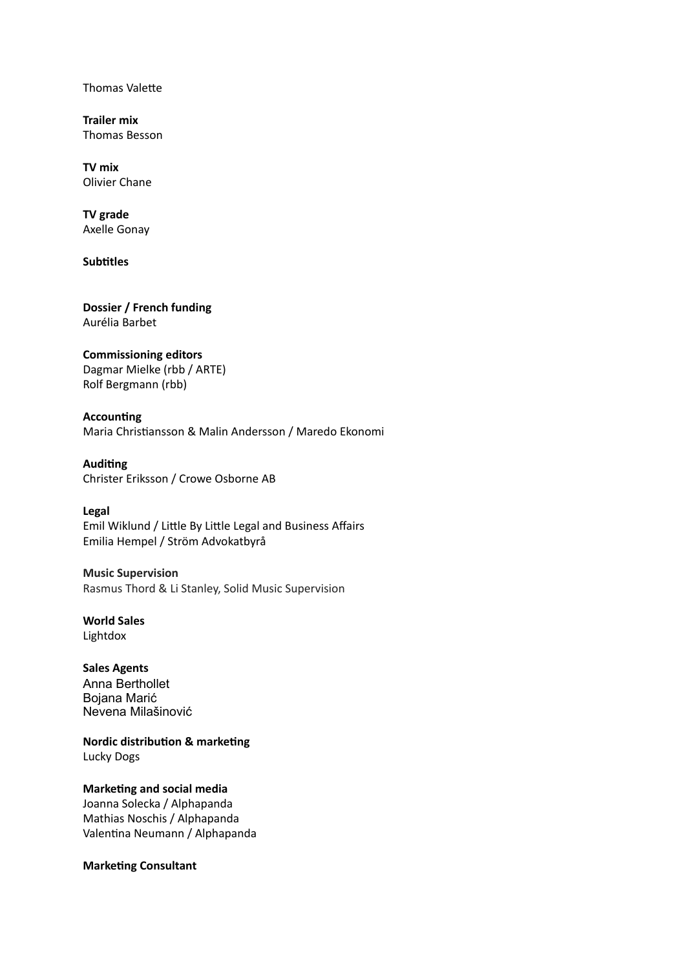Thomas Valette

**Trailer mix** Thomas Besson

**TV mix** Olivier Chane

**TV grade** Axelle Gonay

**Subtitles**

**Dossier / French funding** Aurélia Barbet

#### **Commissioning editors**

Dagmar Mielke (rbb / ARTE) Rolf Bergmann (rbb)

**Accounting**  Maria Christiansson & Malin Andersson / Maredo Ekonomi

**Auditing**

Christer Eriksson / Crowe Osborne AB

**Legal**

Emil Wiklund / Little By Little Legal and Business Affairs Emilia Hempel / Ström Advokatbyrå

**Music Supervision** Rasmus Thord & Li Stanley, Solid Music Supervision

**World Sales** Lightdox

**Sales Agents** Anna Berthollet Bojana Marić Nevena Milašinović

**Nordic distribution & marketing** Lucky Dogs

**Marketing and social media** Joanna Solecka / Alphapanda Mathias Noschis / Alphapanda Valentina Neumann / Alphapanda

**Marketing Consultant**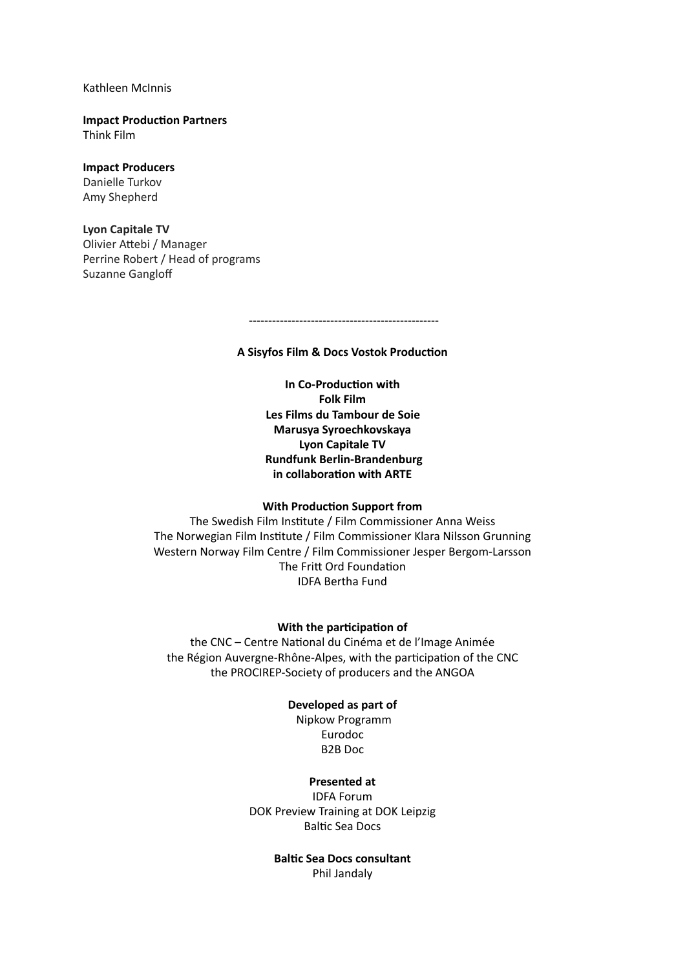Kathleen McInnis

**Impact Production Partners**  Think Film

#### **Impact Producers**

Danielle Turkov Amy Shepherd

#### **Lyon Capitale TV**

Olivier Attebi / Manager Perrine Robert / Head of programs Suzanne Ganglof

-------------------------------------------------

**A Sisyfos Film & Docs Vostok Production**

**In Co-Production with Folk Film Les Films du Tambour de Soie Marusya Syroechkovskaya Lyon Capitale TV Rundfunk Berlin-Brandenburg in collaboration with ARTE**

#### **With Production Support from**

The Swedish Film Institute / Film Commissioner Anna Weiss The Norwegian Film Institute / Film Commissioner Klara Nilsson Grunning Western Norway Film Centre / Film Commissioner Jesper Bergom-Larsson The Fritt Ord Foundation IDFA Bertha Fund

#### **With the participation of**

the CNC – Centre National du Cinéma et de l'Image Animée the Région Auvergne-Rhône-Alpes, with the participation of the CNC the PROCIREP-Society of producers and the ANGOA

#### **Developed as part of**

 Nipkow Programm Eurodoc B2B Doc

#### **Presented at**

IDFA Forum DOK Preview Training at DOK Leipzig Baltic Sea Docs

> **Baltic Sea Docs consultant**  Phil Jandaly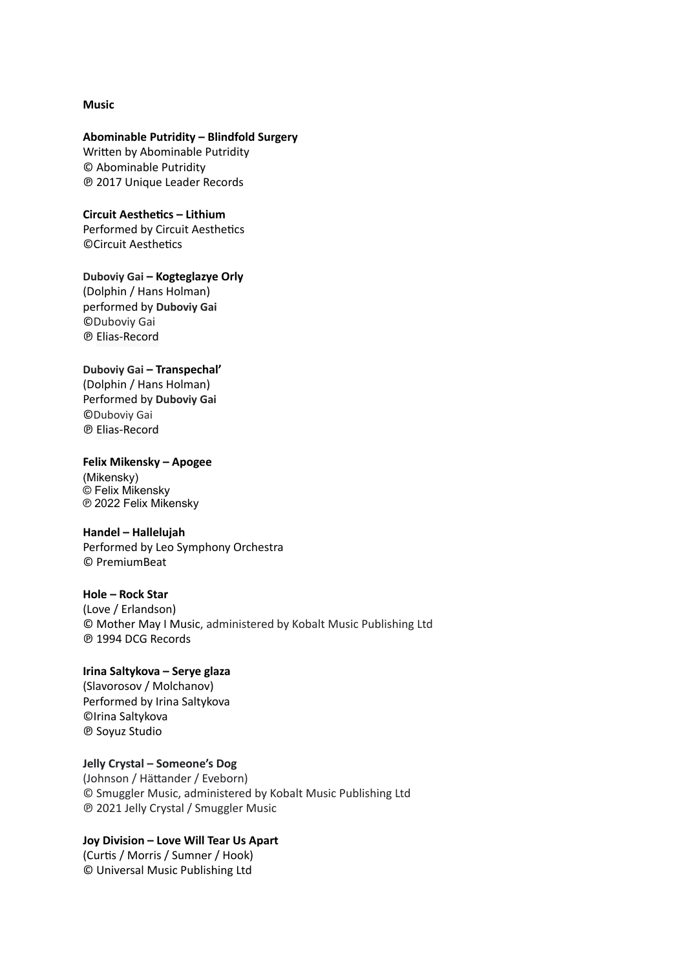#### **Music**

#### **Abominable Putridity – Blindfold Surgery**

Written by Abominable Putridity © Abominable Putridity ℗ 2017 Unique Leader Records

**Circuit Aesthetics – Lithium** Performed by Circuit Aesthetics ©Circuit Aesthetics

**Duboviy Gai – Kogteglazye Orly**

(Dolphin / Hans Holman) performed by **Duboviy Gai** ©Duboviy Gai ℗ Elias-Record

#### **Duboviy Gai – Transpechal'**

(Dolphin / Hans Holman) Performed by **Duboviy Gai** ©Duboviy Gai ℗ Elias-Record

#### **Felix Mikensky – Apogee**

(Mikensky) © Felix Mikensky ℗ 2022 Felix Mikensky

#### **Handel – Hallelujah**

Performed by Leo Symphony Orchestra © PremiumBeat

#### **Hole – Rock Star**

(Love / Erlandson) © Mother May I Music, administered by Kobalt Music Publishing Ltd ℗ 1994 DCG Records

#### **Irina Saltykova – Serye glaza**

(Slavorosov / Molchanov) Performed by Irina Saltykova ©Irina Saltykova ℗ Soyuz Studio

**Jelly Crystal – Someone's Dog**

(Johnson / Hättander / Eveborn) © Smuggler Music, administered by Kobalt Music Publishing Ltd ℗ 2021 Jelly Crystal / Smuggler Music

## **Joy Division – Love Will Tear Us Apart**

(Curtis / Morris / Sumner / Hook) © Universal Music Publishing Ltd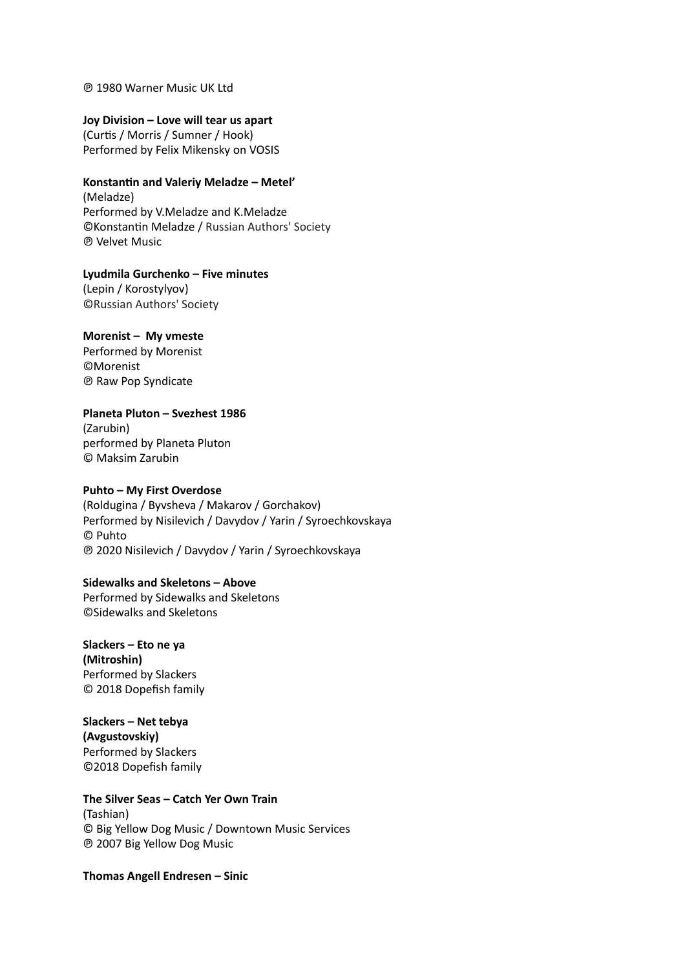#### ℗ 1980 Warner Music UK Ltd

#### **Joy Division – Love will tear us apart**

(Curtis / Morris / Sumner / Hook) Performed by Felix Mikensky on VOSIS

## **Konstantin and Valeriy Meladze – Metel'**

(Meladze) Performed by V.Meladze and K.Meladze ©Konstantin Meladze / Russian Authors' Society ℗ Velvet Music

**Lyudmila Gurchenko – Five minutes** (Lepin / Korostylyov) ©Russian Authors' Society

#### **Morenist – My vmeste**

Performed by Morenist ©Morenist ℗ Raw Pop Syndicate

#### **Planeta Pluton – Svezhest 1986**

(Zarubin) performed by Planeta Pluton © Maksim Zarubin

#### **Puhto – My First Overdose**

(Roldugina / Byvsheva / Makarov / Gorchakov) Performed by Nisilevich / Davydov / Yarin / Syroechkovskaya © Puhto ℗ 2020 Nisilevich / Davydov / Yarin / Syroechkovskaya

#### **Sidewalks and Skeletons – Above**

Performed by Sidewalks and Skeletons ©Sidewalks and Skeletons

**Slackers – Eto ne ya (Mitroshin)** Performed by Slackers © 2018 Dopefish family

**Slackers – Net tebya (Avgustovskiy)** Performed by Slackers ©2018 Dopefish family

#### **The Silver Seas – Catch Yer Own Train** (Tashian) © Big Yellow Dog Music / Downtown Music Services

℗ 2007 Big Yellow Dog Music

**Thomas Angell Endresen – Sinic**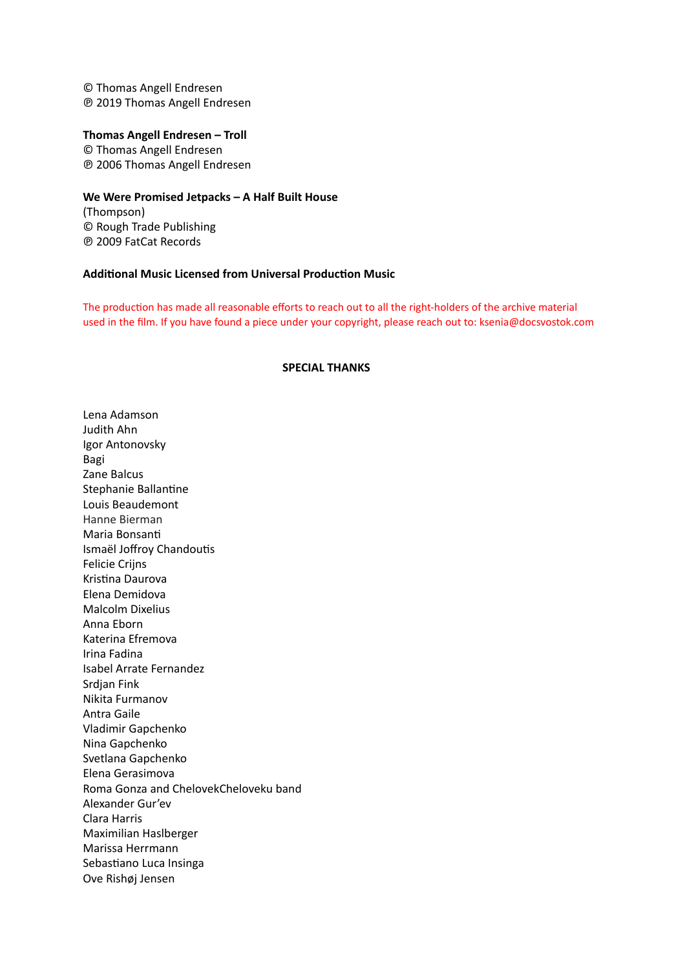© Thomas Angell Endresen ℗ 2019 Thomas Angell Endresen

#### **Thomas Angell Endresen – Troll**

© Thomas Angell Endresen ℗ 2006 Thomas Angell Endresen

#### **We Were Promised Jetpacks – A Half Built House**

(Thompson) © Rough Trade Publishing ℗ 2009 FatCat Records

#### **Additional Music Licensed from Universal Production Music**

The production has made all reasonable efforts to reach out to all the right-holders of the archive material used in the film. If you have found a piece under your copyright, please reach out to: ksenia@docsvostok.com

#### **SPECIAL THANKS**

Lena Adamson Judith Ahn Igor Antonovsky Bagi Zane Balcus Stephanie Ballantine Louis Beaudemont Hanne Bierman Maria Bonsanti Ismaël Joffroy Chandoutis Felicie Crijns Kristina Daurova Elena Demidova Malcolm Dixelius Anna Eborn Katerina Efremova Irina Fadina Isabel Arrate Fernandez Srdjan Fink Nikita Furmanov Antra Gaile Vladimir Gapchenko Nina Gapchenko Svetlana Gapchenko Elena Gerasimova Roma Gonza and ChelovekCheloveku band Alexander Gur'ev Clara Harris Maximilian Haslberger Marissa Herrmann Sebastiano Luca Insinga Ove Rishøj Jensen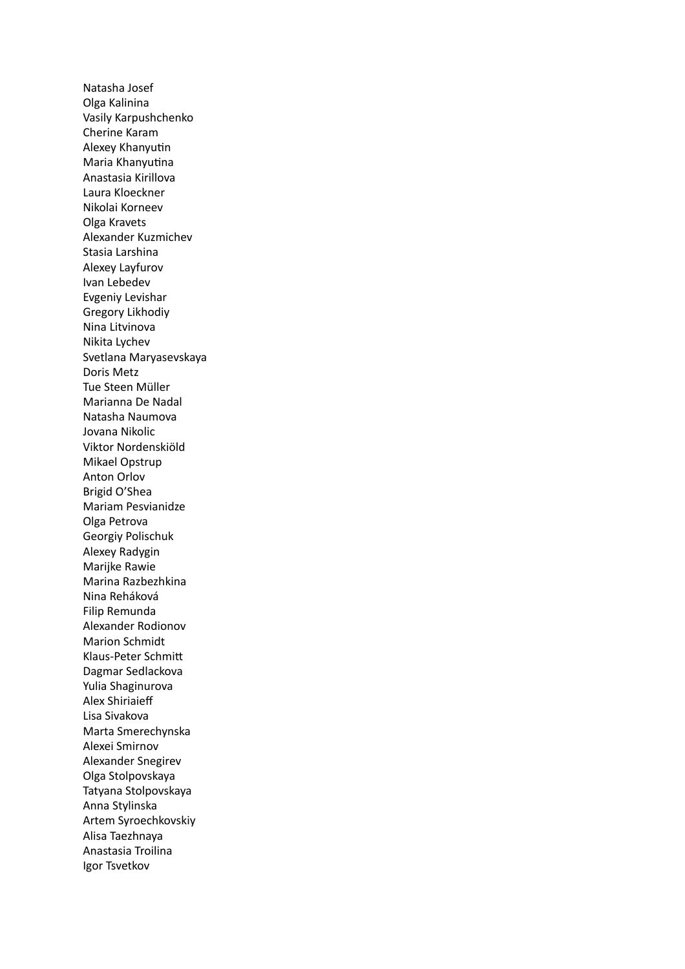Natasha Josef Olga Kalinina Vasily Karpushchenko Cherine Karam Alexey Khanyutin Maria Khanyutina Anastasia Kirillova Laura Kloeckner Nikolai Korneev Olga Kravets Alexander Kuzmichev Stasia Larshina Alexey Layfurov Ivan Lebedev Evgeniy Levishar Gregory Likhodiy Nina Litvinova Nikita Lychev Svetlana Maryasevskaya Doris Metz Tue Steen Müller Marianna De Nadal Natasha Naumova Jovana Nikolic Viktor Nordenskiöld Mikael Opstrup Anton Orlov Brigid O'Shea Mariam Pesvianidze Olga Petrova Georgiy Polischuk Alexey Radygin Marijke Rawie Marina Razbezhkina Nina Reháková Filip Remunda Alexander Rodionov Marion Schmidt Klaus-Peter Schmit Dagmar Sedlackova Yulia Shaginurova Alex Shiriaieff Lisa Sivakova Marta Smerechynska Alexei Smirnov Alexander Snegirev Olga Stolpovskaya Tatyana Stolpovskaya Anna Stylinska Artem Syroechkovskiy Alisa Taezhnaya Anastasia Troilina Igor Tsvetkov